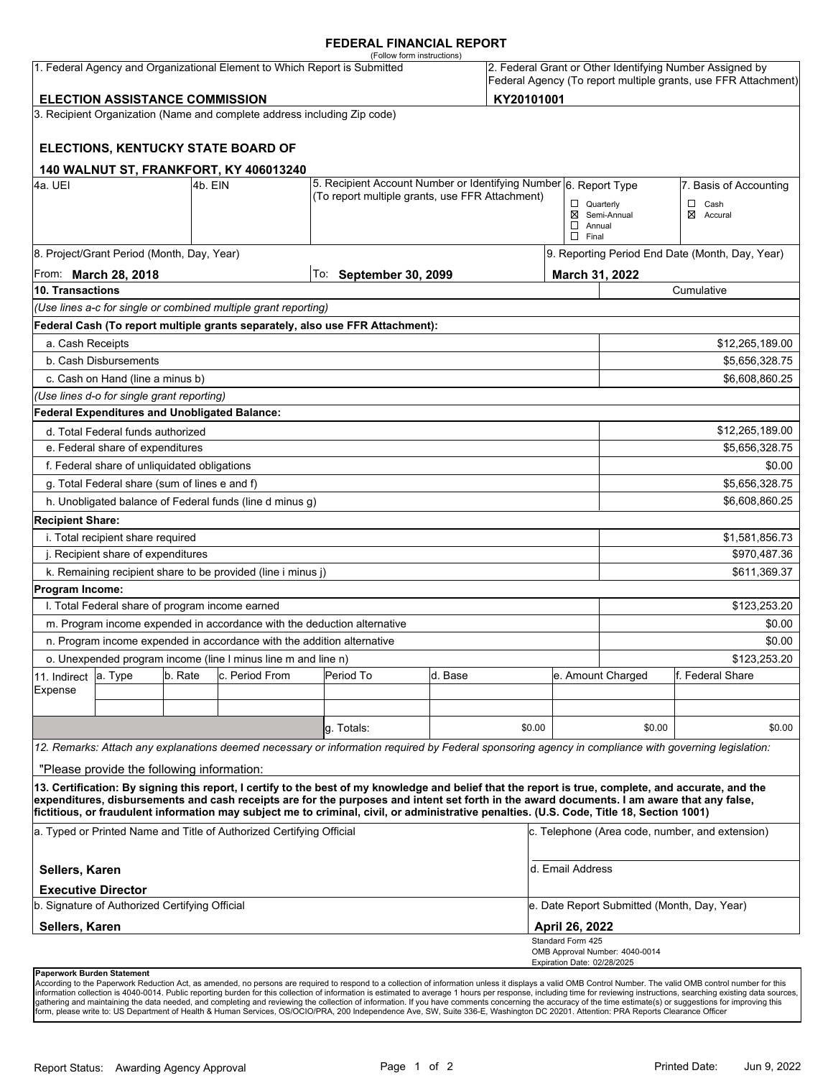#### **FEDERAL FINANCIAL REPORT**

|                                                                                                                    |                                                                 |         |                                                                          | (Follow form instructions)                                                                                                                                                                                                                                                                         |                           |            |                                                                                                                            |                                                 |                          |  |
|--------------------------------------------------------------------------------------------------------------------|-----------------------------------------------------------------|---------|--------------------------------------------------------------------------|----------------------------------------------------------------------------------------------------------------------------------------------------------------------------------------------------------------------------------------------------------------------------------------------------|---------------------------|------------|----------------------------------------------------------------------------------------------------------------------------|-------------------------------------------------|--------------------------|--|
| 1. Federal Agency and Organizational Element to Which Report is Submitted<br><b>ELECTION ASSISTANCE COMMISSION</b> |                                                                 |         |                                                                          |                                                                                                                                                                                                                                                                                                    |                           |            | 2. Federal Grant or Other Identifying Number Assigned by<br>Federal Agency (To report multiple grants, use FFR Attachment) |                                                 |                          |  |
|                                                                                                                    |                                                                 |         |                                                                          |                                                                                                                                                                                                                                                                                                    |                           | KY20101001 |                                                                                                                            |                                                 |                          |  |
|                                                                                                                    |                                                                 |         | 3. Recipient Organization (Name and complete address including Zip code) |                                                                                                                                                                                                                                                                                                    |                           |            |                                                                                                                            |                                                 |                          |  |
|                                                                                                                    |                                                                 |         | <b>ELECTIONS, KENTUCKY STATE BOARD OF</b>                                |                                                                                                                                                                                                                                                                                                    |                           |            |                                                                                                                            |                                                 |                          |  |
|                                                                                                                    |                                                                 |         | <b>140 WALNUT ST, FRANKFORT, KY 406013240</b>                            |                                                                                                                                                                                                                                                                                                    |                           |            |                                                                                                                            |                                                 |                          |  |
| 4a. UEI<br>l4b. EIN                                                                                                |                                                                 |         |                                                                          | 5. Recipient Account Number or Identifying Number 6. Report Type<br>(To report multiple grants, use FFR Attachment)                                                                                                                                                                                |                           |            |                                                                                                                            | 7. Basis of Accounting                          |                          |  |
|                                                                                                                    |                                                                 |         |                                                                          |                                                                                                                                                                                                                                                                                                    |                           |            | $\Box$ Quarterly<br>$\Box$ Annual<br>$\Box$ Final                                                                          | ⊠ Semi-Annual                                   | $\Box$ Cash<br>⊠ Accural |  |
|                                                                                                                    | 8. Project/Grant Period (Month, Day, Year)                      |         |                                                                          |                                                                                                                                                                                                                                                                                                    |                           |            |                                                                                                                            | 9. Reporting Period End Date (Month, Day, Year) |                          |  |
| From: March 28, 2018                                                                                               |                                                                 |         |                                                                          | To:                                                                                                                                                                                                                                                                                                | <b>September 30, 2099</b> |            |                                                                                                                            | March 31, 2022                                  |                          |  |
| 10. Transactions                                                                                                   |                                                                 |         |                                                                          |                                                                                                                                                                                                                                                                                                    |                           |            |                                                                                                                            | Cumulative                                      |                          |  |
|                                                                                                                    |                                                                 |         | (Use lines a-c for single or combined multiple grant reporting)          |                                                                                                                                                                                                                                                                                                    |                           |            |                                                                                                                            |                                                 |                          |  |
|                                                                                                                    |                                                                 |         |                                                                          | Federal Cash (To report multiple grants separately, also use FFR Attachment):                                                                                                                                                                                                                      |                           |            |                                                                                                                            |                                                 |                          |  |
| a. Cash Receipts                                                                                                   |                                                                 |         |                                                                          |                                                                                                                                                                                                                                                                                                    |                           |            |                                                                                                                            |                                                 | \$12,265,189.00          |  |
|                                                                                                                    | b. Cash Disbursements                                           |         |                                                                          |                                                                                                                                                                                                                                                                                                    |                           |            |                                                                                                                            | \$5,656,328.75                                  |                          |  |
|                                                                                                                    | c. Cash on Hand (line a minus b)                                |         |                                                                          |                                                                                                                                                                                                                                                                                                    |                           |            |                                                                                                                            |                                                 | \$6,608,860.25           |  |
|                                                                                                                    | (Use lines d-o for single grant reporting)                      |         |                                                                          |                                                                                                                                                                                                                                                                                                    |                           |            |                                                                                                                            |                                                 |                          |  |
|                                                                                                                    | <b>Federal Expenditures and Unobligated Balance:</b>            |         |                                                                          |                                                                                                                                                                                                                                                                                                    |                           |            |                                                                                                                            |                                                 |                          |  |
|                                                                                                                    | d. Total Federal funds authorized                               |         |                                                                          |                                                                                                                                                                                                                                                                                                    |                           |            |                                                                                                                            |                                                 | \$12,265,189.00          |  |
| e. Federal share of expenditures                                                                                   |                                                                 |         |                                                                          |                                                                                                                                                                                                                                                                                                    |                           |            |                                                                                                                            | \$5,656,328.75                                  |                          |  |
|                                                                                                                    | f. Federal share of unliquidated obligations                    |         |                                                                          |                                                                                                                                                                                                                                                                                                    |                           |            |                                                                                                                            |                                                 | \$0.00                   |  |
|                                                                                                                    | g. Total Federal share (sum of lines e and f)<br>\$5,656,328.75 |         |                                                                          |                                                                                                                                                                                                                                                                                                    |                           |            |                                                                                                                            |                                                 |                          |  |
|                                                                                                                    |                                                                 |         | h. Unobligated balance of Federal funds (line d minus g)                 |                                                                                                                                                                                                                                                                                                    |                           |            |                                                                                                                            |                                                 | \$6,608,860.25           |  |
| <b>Recipient Share:</b>                                                                                            |                                                                 |         |                                                                          |                                                                                                                                                                                                                                                                                                    |                           |            |                                                                                                                            |                                                 |                          |  |
| i. Total recipient share required<br>\$1,581,856.73                                                                |                                                                 |         |                                                                          |                                                                                                                                                                                                                                                                                                    |                           |            |                                                                                                                            |                                                 |                          |  |
| j. Recipient share of expenditures                                                                                 |                                                                 |         |                                                                          |                                                                                                                                                                                                                                                                                                    |                           |            |                                                                                                                            | \$970,487.36                                    |                          |  |
|                                                                                                                    |                                                                 |         | k. Remaining recipient share to be provided (line i minus j)             |                                                                                                                                                                                                                                                                                                    |                           |            |                                                                                                                            |                                                 | \$611,369.37             |  |
| Program Income:                                                                                                    |                                                                 |         |                                                                          |                                                                                                                                                                                                                                                                                                    |                           |            |                                                                                                                            |                                                 |                          |  |
|                                                                                                                    | I. Total Federal share of program income earned                 |         |                                                                          |                                                                                                                                                                                                                                                                                                    |                           |            |                                                                                                                            |                                                 | \$123,253.20             |  |
|                                                                                                                    |                                                                 |         |                                                                          | m. Program income expended in accordance with the deduction alternative                                                                                                                                                                                                                            |                           |            |                                                                                                                            |                                                 | \$0.00                   |  |
|                                                                                                                    |                                                                 |         | n. Program income expended in accordance with the addition alternative   |                                                                                                                                                                                                                                                                                                    |                           |            |                                                                                                                            |                                                 | \$0.00                   |  |
| o. Unexpended program income (line I minus line m and line n)                                                      |                                                                 |         |                                                                          |                                                                                                                                                                                                                                                                                                    |                           |            |                                                                                                                            | \$123,253.20                                    |                          |  |
| 11. Indirect                                                                                                       | a. Type                                                         | b. Rate | c. Period From                                                           | Period To                                                                                                                                                                                                                                                                                          | d. Base                   |            |                                                                                                                            | e. Amount Charged                               | lf. Federal Share        |  |
| Expense                                                                                                            |                                                                 |         |                                                                          |                                                                                                                                                                                                                                                                                                    |                           |            |                                                                                                                            |                                                 |                          |  |
|                                                                                                                    |                                                                 |         |                                                                          |                                                                                                                                                                                                                                                                                                    |                           |            |                                                                                                                            |                                                 |                          |  |
|                                                                                                                    |                                                                 |         |                                                                          | g. Totals:                                                                                                                                                                                                                                                                                         |                           | \$0.00     |                                                                                                                            | \$0.00                                          | \$0.00                   |  |
|                                                                                                                    |                                                                 |         |                                                                          | 12. Remarks: Attach any explanations deemed necessary or information required by Federal sponsoring agency in compliance with governing legislation:                                                                                                                                               |                           |            |                                                                                                                            |                                                 |                          |  |
|                                                                                                                    | "Please provide the following information:                      |         |                                                                          |                                                                                                                                                                                                                                                                                                    |                           |            |                                                                                                                            |                                                 |                          |  |
|                                                                                                                    |                                                                 |         |                                                                          | 13. Certification: By signing this report, I certify to the best of my knowledge and belief that the report is true, complete, and accurate, and the<br>expenditures, disbursements and cash receipts are for the purposes and intent set forth in the award documents. I am aware that any false, |                           |            |                                                                                                                            |                                                 |                          |  |
|                                                                                                                    |                                                                 |         |                                                                          | fictitious, or fraudulent information may subject me to criminal, civil, or administrative penalties. (U.S. Code, Title 18, Section 1001)                                                                                                                                                          |                           |            |                                                                                                                            |                                                 |                          |  |
| a. Typed or Printed Name and Title of Authorized Certifying Official                                               |                                                                 |         |                                                                          |                                                                                                                                                                                                                                                                                                    |                           |            |                                                                                                                            | c. Telephone (Area code, number, and extension) |                          |  |
| d. Email Address<br>Sellers, Karen                                                                                 |                                                                 |         |                                                                          |                                                                                                                                                                                                                                                                                                    |                           |            |                                                                                                                            |                                                 |                          |  |
|                                                                                                                    | <b>Executive Director</b>                                       |         |                                                                          |                                                                                                                                                                                                                                                                                                    |                           |            |                                                                                                                            |                                                 |                          |  |
| b. Signature of Authorized Certifying Official                                                                     |                                                                 |         |                                                                          |                                                                                                                                                                                                                                                                                                    |                           |            | e. Date Report Submitted (Month, Day, Year)                                                                                |                                                 |                          |  |
| <b>Sellers, Karen</b>                                                                                              |                                                                 |         |                                                                          |                                                                                                                                                                                                                                                                                                    |                           |            | April 26, 2022                                                                                                             |                                                 |                          |  |
|                                                                                                                    |                                                                 |         |                                                                          |                                                                                                                                                                                                                                                                                                    |                           |            | Standard Form 425<br>Expiration Date: 02/28/2025                                                                           | OMB Approval Number: 4040-0014                  |                          |  |
| Paperwork Burden Statement                                                                                         |                                                                 |         |                                                                          |                                                                                                                                                                                                                                                                                                    |                           |            |                                                                                                                            |                                                 |                          |  |

According to the Paperwork Reduction Act, as amended, no persons are required to respond to a collection of information unless it displays a valid OMB Control Number. The valid OMB control number for this<br>information colle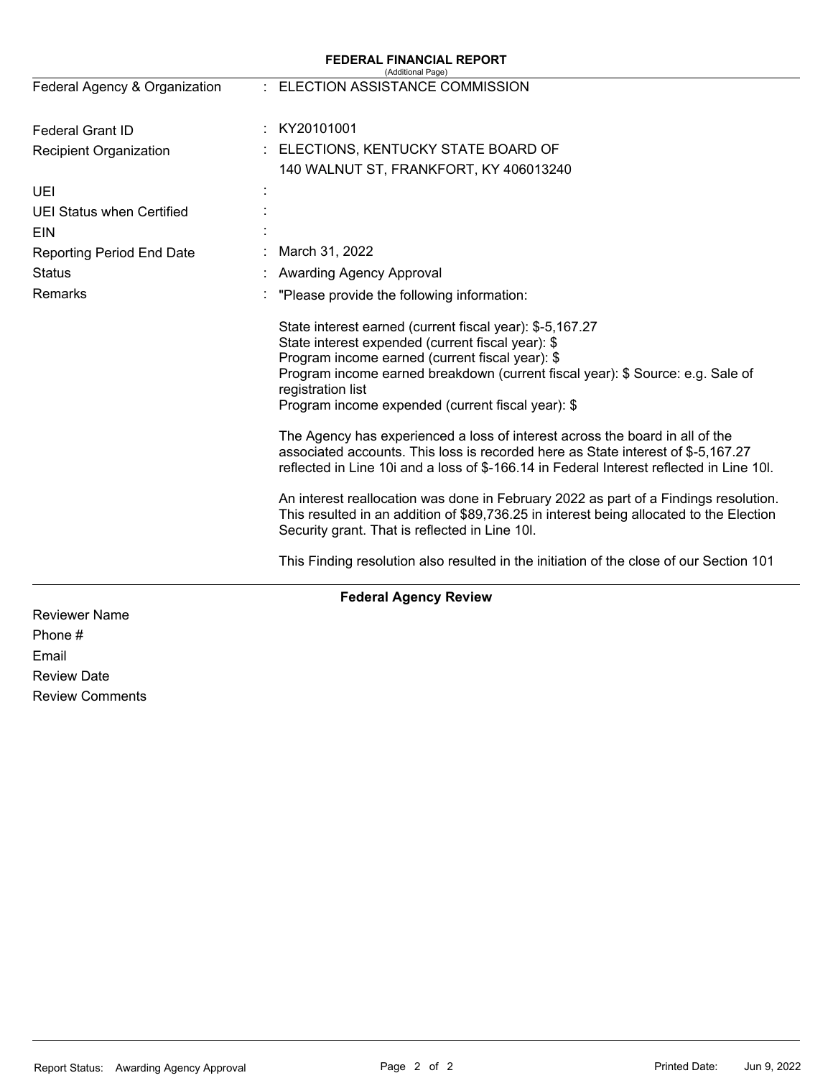| <b>FEDERAL FINANCIAL REPORT</b><br>(Additional Page) |                                                                                                                                                                                                                                                                                                                              |  |  |  |  |
|------------------------------------------------------|------------------------------------------------------------------------------------------------------------------------------------------------------------------------------------------------------------------------------------------------------------------------------------------------------------------------------|--|--|--|--|
| Federal Agency & Organization                        | ELECTION ASSISTANCE COMMISSION                                                                                                                                                                                                                                                                                               |  |  |  |  |
| Federal Grant ID                                     | KY20101001<br>÷.                                                                                                                                                                                                                                                                                                             |  |  |  |  |
| <b>Recipient Organization</b>                        | ELECTIONS, KENTUCKY STATE BOARD OF<br>140 WALNUT ST, FRANKFORT, KY 406013240                                                                                                                                                                                                                                                 |  |  |  |  |
| UEI                                                  |                                                                                                                                                                                                                                                                                                                              |  |  |  |  |
| <b>UEI Status when Certified</b><br>EIN              |                                                                                                                                                                                                                                                                                                                              |  |  |  |  |
| <b>Reporting Period End Date</b>                     | March 31, 2022                                                                                                                                                                                                                                                                                                               |  |  |  |  |
| <b>Status</b>                                        | Awarding Agency Approval                                                                                                                                                                                                                                                                                                     |  |  |  |  |
| Remarks                                              | "Please provide the following information:                                                                                                                                                                                                                                                                                   |  |  |  |  |
|                                                      | State interest earned (current fiscal year): \$-5,167.27<br>State interest expended (current fiscal year): \$<br>Program income earned (current fiscal year): \$<br>Program income earned breakdown (current fiscal year): \$ Source: e.g. Sale of<br>registration list<br>Program income expended (current fiscal year): \$ |  |  |  |  |
|                                                      | The Agency has experienced a loss of interest across the board in all of the<br>associated accounts. This loss is recorded here as State interest of \$-5,167.27<br>reflected in Line 10i and a loss of \$-166.14 in Federal Interest reflected in Line 10I.                                                                 |  |  |  |  |
|                                                      | An interest reallocation was done in February 2022 as part of a Findings resolution.<br>This resulted in an addition of \$89,736.25 in interest being allocated to the Election<br>Security grant. That is reflected in Line 10I.                                                                                            |  |  |  |  |
|                                                      | This Finding resolution also resulted in the initiation of the close of our Section 101                                                                                                                                                                                                                                      |  |  |  |  |
|                                                      | <b>Federal Agency Review</b>                                                                                                                                                                                                                                                                                                 |  |  |  |  |
| <b>Reviewer Name</b>                                 |                                                                                                                                                                                                                                                                                                                              |  |  |  |  |

Phone # Email Review Date Review Comments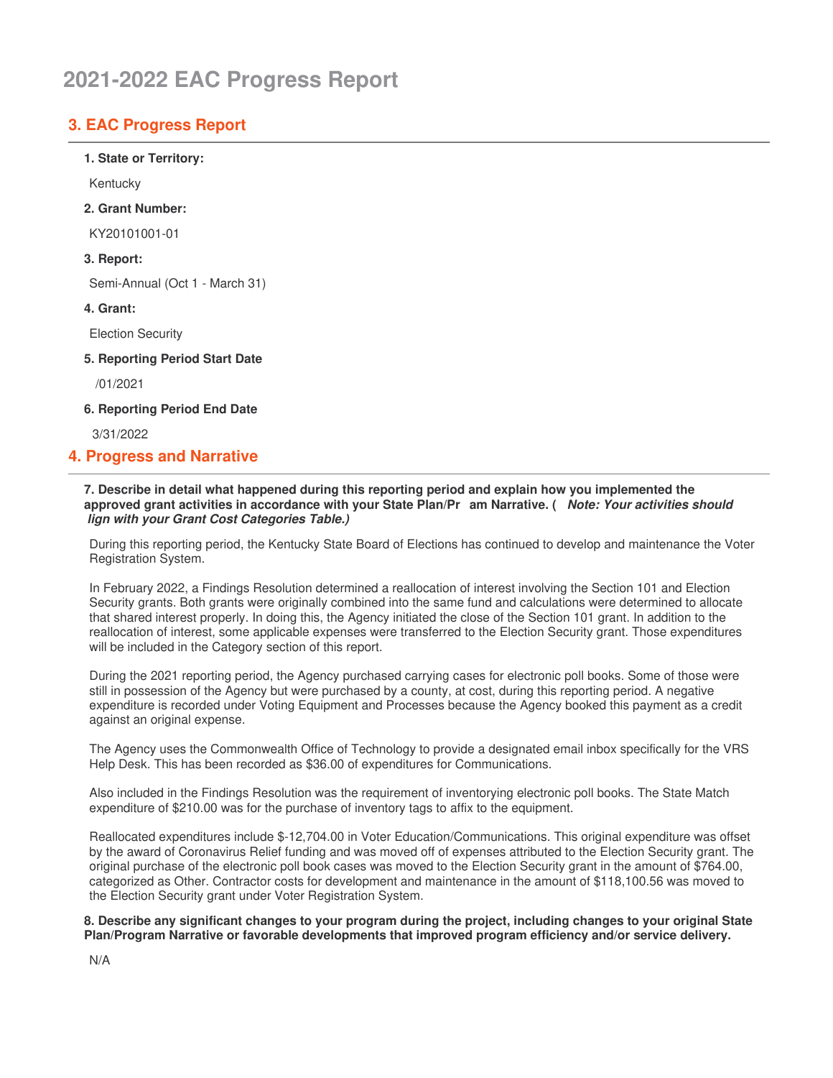# 2021-2022 EAC Progress Report

# **3. EAC Progress Report**

1. State or Territory:

Kentuckv

#### 2. Grant Number:

KY20101001-01

### 3. Report:

Semi-Annual (Oct 1 - March 31)

#### 4. Grant:

**Election Security** 

5. Reporting Period Start Date

/01/2021

6. Reporting Period End Date

3/31/2022

# **4. Progress and Narrative**

#### 7. Describe in detail what happened during this reporting period and explain how you implemented the approved grant activities in accordance with your State Plan/Pr am Narrative. (Note: Your activities should lign with your Grant Cost Categories Table.)

During this reporting period, the Kentucky State Board of Elections has continued to develop and maintenance the Voter Registration System.

In February 2022, a Findings Resolution determined a reallocation of interest involving the Section 101 and Election Security grants. Both grants were originally combined into the same fund and calculations were determined to allocate that shared interest properly. In doing this, the Agency initiated the close of the Section 101 grant. In addition to the reallocation of interest, some applicable expenses were transferred to the Election Security grant. Those expenditures will be included in the Category section of this report.

During the 2021 reporting period, the Agency purchased carrying cases for electronic poll books. Some of those were still in possession of the Agency but were purchased by a county, at cost, during this reporting period. A negative expenditure is recorded under Voting Equipment and Processes because the Agency booked this payment as a credit against an original expense.

The Agency uses the Commonwealth Office of Technology to provide a designated email inbox specifically for the VRS Help Desk. This has been recorded as \$36.00 of expenditures for Communications.

Also included in the Findings Resolution was the requirement of inventorying electronic poll books. The State Match expenditure of \$210.00 was for the purchase of inventory tags to affix to the equipment.

Reallocated expenditures include \$-12,704.00 in Voter Education/Communications. This original expenditure was offset by the award of Coronavirus Relief funding and was moved off of expenses attributed to the Election Security grant. The original purchase of the electronic poll book cases was moved to the Election Security grant in the amount of \$764.00, categorized as Other. Contractor costs for development and maintenance in the amount of \$118,100.56 was moved to the Election Security grant under Voter Registration System.

8. Describe any significant changes to your program during the project, including changes to your original State Plan/Program Narrative or favorable developments that improved program efficiency and/or service delivery.

 $N/A$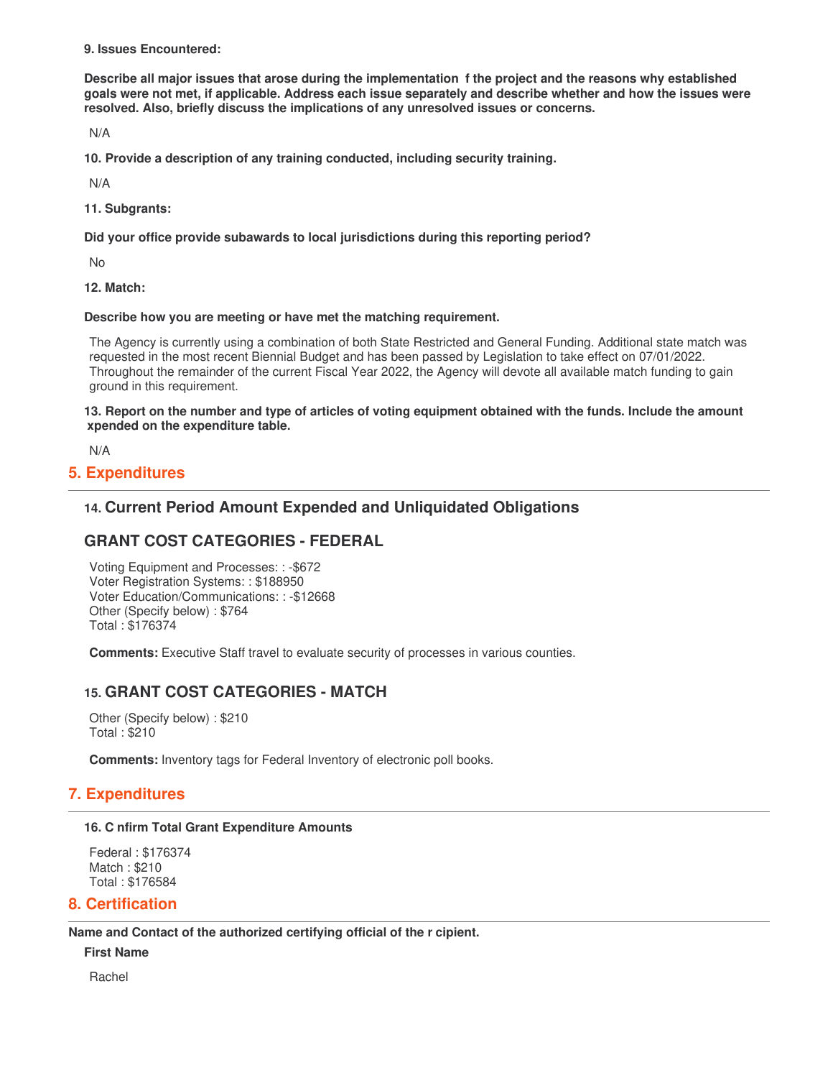9. Issues Encountered:

Describe all major issues that arose during the implementation f the project and the reasons why established goals were not met, if applicable. Address each issue separately and describe whether and how the issues were resolved. Also, briefly discuss the implications of any unresolved issues or concerns.

 $N/A$ 

10. Provide a description of any training conducted, including security training.

 $N/A$ 

11. Subgrants:

Did your office provide subawards to local jurisdictions during this reporting period?

**No** 

**12. Match:** 

#### Describe how you are meeting or have met the matching requirement.

The Agency is currently using a combination of both State Restricted and General Funding. Additional state match was requested in the most recent Biennial Budget and has been passed by Legislation to take effect on 07/01/2022. Throughout the remainder of the current Fiscal Year 2022, the Agency will devote all available match funding to gain ground in this requirement.

13. Report on the number and type of articles of voting equipment obtained with the funds. Include the amount xpended on the expenditure table.

 $N/A$ 

## **5. Expenditures**

# 14. Current Period Amount Expended and Unliquidated Obligations

# **GRANT COST CATEGORIES - FEDERAL**

Voting Equipment and Processes: : - \$672 Voter Registration Systems:: \$188950 Voter Education/Communications:: - \$12668 Other (Specify below): \$764 Total: \$176374

**Comments:** Executive Staff travel to evaluate security of processes in various counties.

# **15. GRANT COST CATEGORIES - MATCH**

Other (Specify below): \$210 **Total: \$210** 

**Comments:** Inventory tags for Federal Inventory of electronic poll books.

# **7. Expenditures**

#### 16. C nfirm Total Grant Expenditure Amounts

Federal: \$176374 Match: \$210 Total: \$176584

# **8. Certification**

Name and Contact of the authorized certifying official of the r cipient.

**First Name** 

Rachel